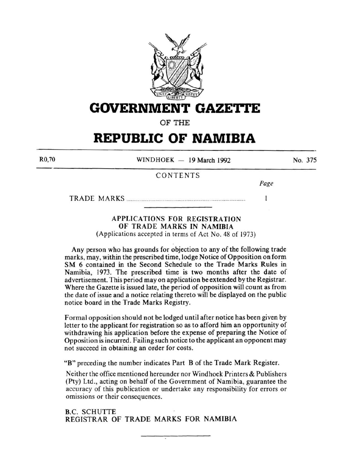

# **GOVERNMENT GAZETTE**

OF THE

# **REPUBLIC OF NAMIBIA**

R0,70

WINDHOEK  $-$  19 March 1992

No. 375

# CONTENTS

*Page* 

 $\mathbf{I}$ 

TRADE MARKS .............................................................................................. .

# APPLICATIONS FOR REGISTRATION OF TRADE MARKS IN NAMIBIA

(Applications accepted in terms of Act No. 48 of 1973)

Any person who has grounds for objection to any of the following trade marks, may, within the prescribed time, lodge Notice of Opposition on form SM 6 contained in the Second Schedule to the Trade Marks Rules in Namibia, 1973. The prescribed time is two months after the date of advertisement. This period may on application be extended by the Registrar. Where the Gazette is issued late, the period of opposition will count as from the date of issue and a notice relating thereto will be displayed on the public notice board in the Trade Marks Registry.

Formal opposition should not be lodged until after notice has been given by letter to the applicant for registration so as to afford him an opportunity of withdrawing his application before the expense of preparing the Notice of Opposition is incurred. Failing such notice to the applicant an opponent may not succeed in obtaining an order for costs.

"B" preceding the number indicates Part B of the Trade Mark Register.

Neither the office mentioned hereunder nor Windhoek Printers & Publishers (Pty) Ltd., acting on behalf of the Government of Namibia, guarantee the accuracy of this publication or undertake any responsibility for errors or omissions or their consequences.

B.C. SCHUTTE REGISTRAR OF TRADE MARKS FOR NAMIBIA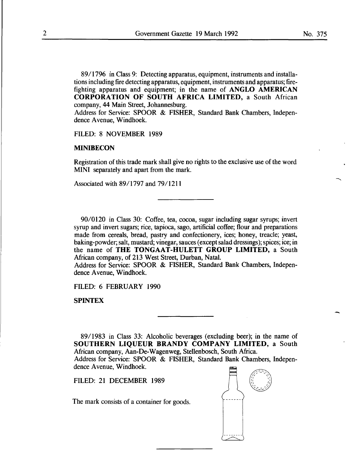89/1796 in Class 9: Detecting apparatus, equipment, instruments and installations including fire detecting apparatus, equipment, instruments and apparatus; firefighting apparatus and equipment; in the name of ANGLO AMERICAN CORPORATION OF SOUTH AFRICA LIMITED, a South African company, 44 Main Street, Johannesburg.

Address for Service: SPOOR & FISHER, Standard Bank Chambers, Independence Avenue, Windhoek.

FILED: 8 NOVEMBER 1989

### MINIBECON

Registration of this trade mark shall give no rights to the exclusive use of the word MINI separately and apart from the mark.

Associated with 89/1797 and 79/1211

90/0120 in Class 30: Coffee, tea, cocoa, sugar including sugar syrups; invert syrup and invert sugars; rice, tapioca, sago, artificial coffee; flour and preparations made from cereals, bread, pastry and confectionery, ices; honey, treacle; yeast, baking-powder; salt, mustard; vinegar, sauces (except salad dressings); spices; ice; in the name of THE TONGAAT-HULETT GROUP LIMITED, a South African company, of 213 West Street, Durban, Natal.

Address for Service: SPOOR & FISHER, Standard Bank Chambers, Independence Avenue, Windhoek.

FILED: 6 FEBRUARY 1990

SPINTEX

89/1983 in Class 33: Alcoholic beverages (excluding beer); in the name of SOUTHERN LIQUEUR BRANDY COMPANY LIMITED, a South African company, Aan-De-Wagenweg, Stellenbosch, South Africa. Address for Service: SPOOR & FISHER, Standard Bank Chambers, Independence Avenue, Windhoek.

FILED: 21 DECEMBER 1989

The mark consists of a container for goods.

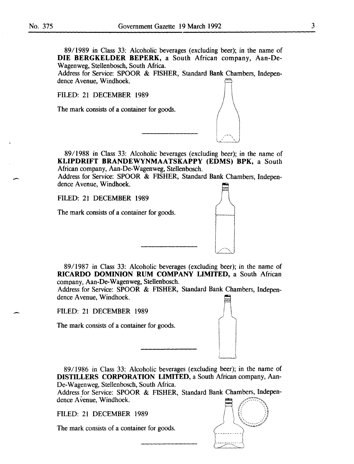$\overline{\phantom{a}}$ 

-

8911989 in Class 33: Alcoholic beverages (excluding beer); in the name of **DIE BERGKELDER BEPERK,** a South African company, Aan-De-Wagenweg, Stellenbosch, South Africa.

Address for Service: SPOOR & FISHER, Standard Bank Chambers, Independence Avenue, Windhoek.

FILED: 21 DECEMBER 1989

The mark consists of a container for goods.

89/1988 in Class 33: Alcoholic beverages (excluding beer); in the name of **KLIPDRIFT BRANDEWYNMAATSKAPPY (EDMS) BPK,** a South African company, Aan-De-Wagenweg, Stellenbosch.

Address for Service: SPOOR & FISHER, Standard Bank Chambers, Independence Avenue, Windhoek.

FILED: 21 DECEMBER 1989

The mark consists of a container for goods.



Address for Service: SPOOR & FISHER, Standard Bank Chambers, Independence A venue, Windhoek.

FILED: 21 DECEMBER 1989

The mark consists of a container for goods.

89/1986 in Class 33: Alcoholic beverages (excluding beer); in the name of **DISTILLERS CORPORATION LIMITED,** a South African company, Aan-De-Wagenweg, Stellenbosch, South Africa.

Address for Service: SPOOR & FISHER, Standard Bank Chambers, Independence Avenue, Windhoek.

FILED: 21 DECEMBER 1989

The mark consists of a container for goods.

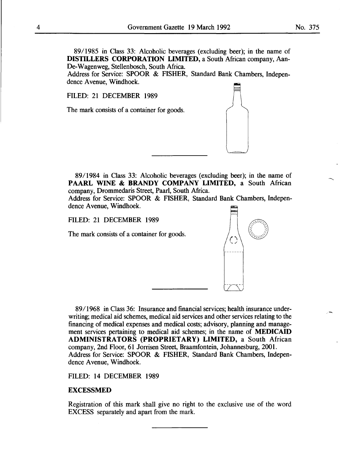89/1985 in Class 33: Alcoholic beverages (excluding beer); in the name of DISTILLERS CORPORATION LIMITED, a South African company, Aan-De-Wagenweg, Stellenbosch, South Africa.

Address for Service: SPOOR & FISHER, Standard Bank Chambers, Independence Avenue, Windhoek.

FILED: 21 DECEMBER 1989

The mark consists of a container for goods.

8911984 in Class 33: Alcoholic beverages (excluding beer); in the name of PAARL WINE & BRANDY COMPANY LIMITED, a South African company, Drommedaris Street, Paarl, South Africa.

Address for Service: SPOOR & FISHER, Standard Bank Chambers, Independence Avenue, Windhoek.

FILED: 21 DECEMBER 1989

The mark consists of a container for goods.

89/1968 in Class 36: Insurance and financial services; health insurance underwriting; medical aid schemes, medical aid services and other services relating to the financing of medical expenses and medical costs; advisory, planning and management services pertaining to medical aid schemes; in the name of MEDICAID ADMINISTRATORS (PROPRIETARY) LIMITED, a South African company, 2nd Floor, 61 Jorrisen Street, Braamfontein, Johannesburg, 2001. Address for Service: SPOOR & FISHER, Standard Bank Chambers, Independence Avenue, Windhoek.

FILED: 14 DECEMBER 1989

#### EXCESSMED

Registration of this mark shall give no right to the exclusive use of the word EXCESS separately and apart from the mark.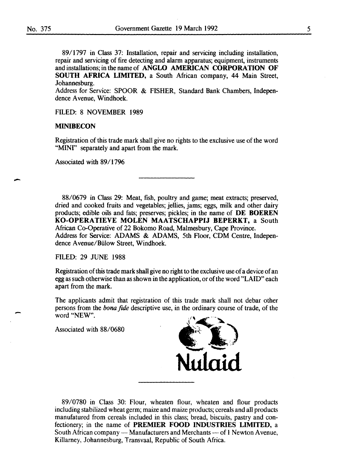-

89/1797 in Class 37: Installation, repair and servicing including installation, repair and servicing of fire detecting and alarm apparatus; equipment, instruments and installations; in the name of **ANGLO AMERICAN CORPORATION OF SOUTH AFRICA LIMITED,** a South African company, **44** Main Street, Johannesburg.

Address for Service: SPOOR & FISHER, Standard Bank Chambers, Independence Avenue, Windhoek.

FILED: 8 NOVEMBER 1989

#### **MINIBECON**

Registration of this trade mark shall give no rights to the exclusive use of the word "MINI" separately and apart from the mark.

Associated with 89/1796

88/0679 in Class 29: Meat, fish, poultry and game; meat extracts; preserved, dried and cooked fruits and vegetables; jellies, jams; eggs, milk and other dairy products; edible oils and fats; preserves; pickles; in the name of **DE BOEREN KO-OPERATIEVE MOLEN MAATSCHAPPIJ BEPERKT,** a South African Co-Operative of 22 Bokomo Road, Malmesbury, Cape Province. Address for Service: ADAMS & ADAMS, Sth Floor, CDM Centre, Independence A venue/Biilow Street, Windhoek.

FILED: 29 JUNE 1988

Registration of this trade mark shall give no right to the exclusive use of a device of an egg as such otherwise than as shown in the application, or of the word "LAID" each apart from the mark.

The applicants admit that registration of this trade mark shall not debar other persons from the *bona fide* descriptive use, in the ordinary course of trade, of the word "NEW".

Associated with 88/0680



89/0780 in Class 30: Flour, wheaten flour, wheaten and flour products including stabilized wheat germ; maize and maize products; cereals and all products manufatured from cereals included in this class; bread, biscuits, pastry and confectionery; in the name of **PREMIER FOOD INDUSTRIES LIMITED,** a South African company — Manufacturers and Merchants — of 1 Newton Avenue, Killarney, Johannesburg, Transvaal, Republic of South Africa.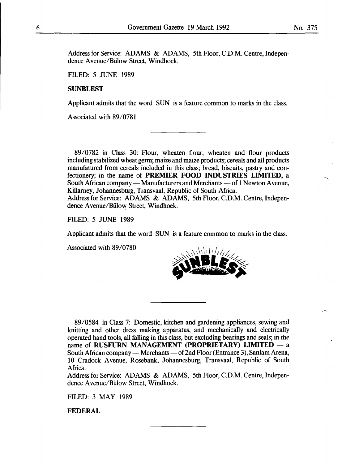Address for Service: ADAMS & ADAMS, 5th Floor, C.D.M. Centre, Independence A venue/Biilow Street, Windhoek.

FILED: 5 JUNE 1989

## SUNBLEST

Applicant admits that the word SUN is a feature common to marks in the class.

Associated with 89/0781

89/0782 in Class 30: Flour, wheaten flour, wheaten and flour products including stabilized wheat germ; maize and maize products; cereals and all products manufatured from cereals included in this class; bread, biscuits, pastry and confectionery; in the name of PREMIER FOOD INDUSTRIES LIMITED, a South African company — Manufacturers and Merchants — of 1 Newton Avenue, Killarney, Johannesburg, Transvaal, Republic of South Africa. Address for Service: ADAMS & ADAMS, 5th Floor, C.D.M. Centre, Independence A venue/Biilow Street, Windhoek.

FILED: 5 JUNE 1989

Applicant admits that the word SUN is a feature common to marks in the class.

Associated with 89/0780



89/0584 in Class 7: Domestic, kitchen and gardening appliances, sewing and knitting and other dress making apparatus, and mechanically and electrically operated hand tools, all falling in this class, but excluding bearings and seals; in the name of RUSFURN MANAGEMENT (PROPRIETARY) LIMITED  $-$  a South African company — Merchants — of 2nd Floor (Entrance 3), Sanlam Arena, 10 Cradock Avenue, Rosebank, Johannesburg, Transvaal, Republic of South Africa.

Address for Service: ADAMS & ADAMS, 5th Floor, C.D.M. Centre, Independence A venue/Biilow Street, Windhoek.

FILED: 3 MAY 1989

FEDERAL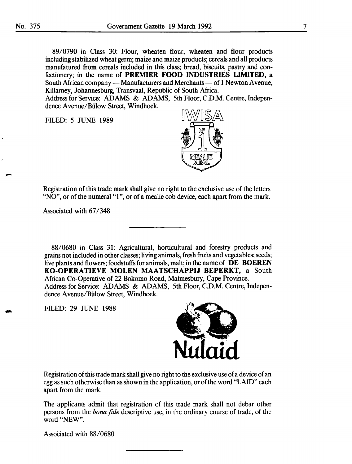89/0790 in Class 30: Flour, wheaten flour, wheaten and flour products including stabilized wheat germ; maize and maize products; cereals and all products manufatured from cereals included in this class; bread, biscuits, pastry and confectionery; in the name of **PREMIER FOOD INDUSTRIES LIMITED,** a South African company - Manufacturers and Merchants - of 1 Newton Avenue, Killarney, Johannesburg, Transvaal, Republic of South Africa.

Address for Service: ADAMS & ADAMS, 5th Floor, C.D.M. Centre, Independence A venue/Biilow Street, Windhoek.

FILED: 5 JUNE 1989



Registration of this trade mark shall give no right to the exclusive use of the letters "NO", or of the numeral "1", or of a mealie cob device, each apart from the mark.

Associated with 67/348

88/0680 in Class 31: Agricultural, horticultural and forestry products and grains not included in other classes; living animals, fresh fruits and vegetables; seeds; live plants and flowers; foodstuffs for animals, malt; in the name of **DE BOEREN KO-OPERATIEVE MOLEN MAATSCHAPPIJ BEPERKT,** a South African Co-Operative of 22 Bokomo Road, Malmesbury, Cape Province. Address for Service: ADAMS & ADAMS, 5th Floor, C.D.M. Centre, Independence A venue/Biilow Street, Windhoek.

FILED: 29 JUNE 1988



Registration of this trade mark shall give no right to the exclusive use of a device of an egg as such otherwise than as shown in the application, or of the word "LAID" each apart from the mark.

The applicants admit that registration of this trade mark shall not debar other persons from the *bona fide* descriptive use, in the ordinary course of trade, of the word "NEW".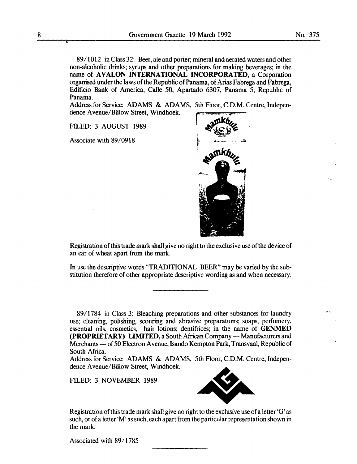89/1012 in Class 32: Beer, ale and porter; mineral and aerated waters and other non-alcoholic drinks; syrups and other preparations for making beverages; in the name of **AVALON INTERNATIONAL INCORPORATED**, a Corporation organised under the laws of the Republic of Panama, of Arias Fabrega and Fabrega, Edificio Bank of America, Calle 50, Apartado 6307, Panama 5, Republic of Panama.

Address for Service: ADAMS & ADAMS, 5th Floor, C.D.M. Centre, Independence A venue/Biilow Street, Windhoek.

FILED: 3 AUGUST 1989

Associate with 89/0918



Registration of this trade mark shall give no right to the exclusive use of the device of an ear of wheat apart from the mark.

In use the descriptive words "TRADITIONAL BEER" may be varied by the substitution therefore of other appropriate descriptive wording as and when necessary.

89/1784 in Class 3: Bleaching preparations and other substances for laundry use; cleaning, polishing, scouring and abrasive preparations; soaps, perfumery, essential oils, cosmetics, hair lotions; dentifrices; in the name of **GENMED (PROPRIETARY) LIMITED, a South African Company -- Manufacturers and** Merchants- of 50 Electron A venue, Isando Kempton Park, Transvaal, Republic of South Africa.

Address for Service: ADAMS & ADAMS, 5th Floor, C.D.M. Centre, Independence A venue/Biilow Street, Windhoek.

FILED: 3 NOVEMBER 1989



Registration of this trade mark shall give no right to the exclusive use of a letter 'G' as such, or of a letter 'M' as such, each apart from the particular representation shown in the mark.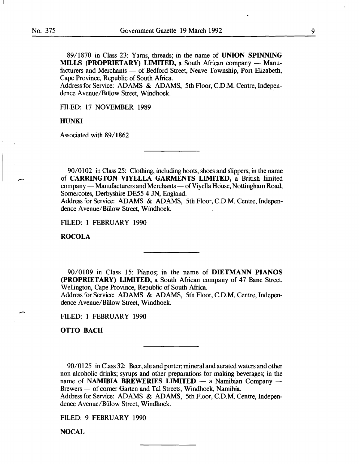-

89/1870 in Class 23: Yams, threads; in the name of UNION SPINNING MILLS (PROPRIETARY) LIMITED, a South African company - Manufacturers and Merchants - of Bedford Street, Neave Township, Port Elizabeth, Cape Province, Republic of South Africa.

Address for Service: ADAMS & ADAMS, 5th Floor, C.D.M. Centre, Independence A venue/Biilow Street, Windhoek.

FILED: 17 NOVEMBER 1989

#### HUNKI

Associated with 89/1862

90/0102 in Class 25: Clothing, including boots, shoes and slippers; in the name of CARRINGTON VIYELLA GARMENTS LIMITED, a British limited company — Manufacturers and Merchants — of Viyella House, Nottingham Road, Somercotes, Derbyshire DE55 4 JN, England.

Address for Service: ADAMS & ADAMS, 5th Floor, C.D.M. Centre, Independence A venue/Biilow Street, Windhoek.

FILED: 1 FEBRUARY 1990

ROCOLA

90/0109 in Class 15: Pianos; in the name of DIETMANN PIANOS (PROPRIETARY) LIMITED, a South African company of 47 Bane Street, Wellington, Cape Province, Republic of South Africa.

Address for Service: ADAMS & ADAMS, 5th Floor, C.D.M. Centre, Independence A venue/Biilow Street, Windhoek.

FILED: 1 FEBRUARY 1990

OTTO BACH

90/0125 in Class 32: Beer, ale and porter; mineral and aerated waters and other non-alcoholic drinks; syrups and other preparations for making beverages; in the name of NAMIBIA BREWERIES LIMITED  $-$  a Namibian Company  $-$ Brewers - of corner Garten and Tal Streets, Windhoek, Namibia. Address for Service: ADAMS & ADAMS, 5th Floor, C.D.M. Centre, Independence A venue/Biilow Street, Windhoek.

FILED: 9 FEBRUARY 1990

**NOCAL**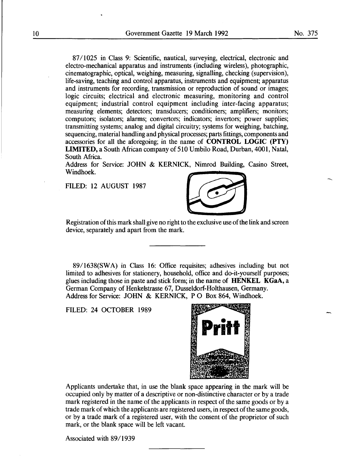87/1025 in Class 9: Scientific, nautical, surveying, electrical, electronic and electro-mechanical apparatus and instruments (including wireless), photographic, cinematographic, optical, weighing, measuring, signalling, checking (supervision), life-saving, teaching and control apparatus, instruments and equipment; apparatus and instruments for recording, transmission or reproduction of sound or images; logic circuits; electrical and electronic measuring, monitoring and control equipment; industrial control equipment including inter-facing apparatus; measuring elements; detectors; transducers; conditioners; amplifiers; monitors; computors; isolators; alarms; convertors; indicators; invertors; power supplies; transmitting systems; analog and digital circuitry; systems for weighing, hatching, sequencing, material handling and physical processes; parts fittings, components and accessories for all the aforegoing; in the name of CONTROL LOGIC (PTY) LIMITED, a South African company of 510 Umbilo Road, Durban, 4001, Natal, South Africa.

Address for Service: JOHN & KERNICK, Nimrod Building, Casino Street, Windhoek.

FILED: 12 AUGUST 1987



Registration of this mark shall give no right to the exclusive use of the link and screen device, separately and apart from the mark.

89/1638(SWA) in Class 16: Office requisites; adhesives including but not limited to adhesives for stationery, household, office and do-it-yourself purposes; glues including those in paste and stick form; in the name of HENKEL KGaA, a German Company of Henkelstrasse 67, Dusseldorf-Holthausen, Germany. Address for Service: JOHN & KERNICK, PO Box 864, Windhoek.

FILED: 24 OCTOBER 1989



Applicants undertake that, in use the blank space appearing in the mark will be occupied only by matter of a descriptive or non-distinctive character or by a trade mark registered in the name of the applicants in respect of the same goods or by a trade mark of which the applicants are registered users, in respect of the same goods, or by a trade mark of a registered user, with the consent of the proprietor of such mark, or the blank space will be left vacant.

Associated with 89/1939

-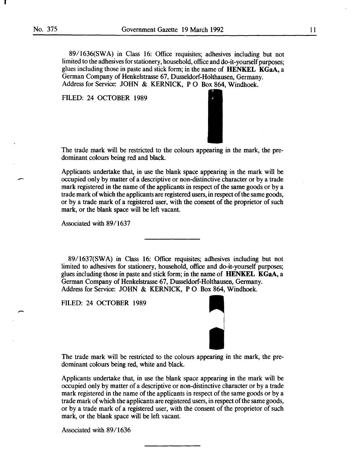-

89/1636(SWA) in Class 16: Office requisites; adhesives including but not limited to the adhesives for stationery, household, office and do-it-yourself purposes; glues including those in paste and stick form; in the name of **HENKEL KGaA**, a German Company of Henkelstrasse 67, Dusseldorf-Holthausen, Germany. Address for Service: JOHN & KERNICK, PO Box 864, Windhoek.

FILED: 24 OCTOBER 1989



The trade mark will be restricted to the colours appearing in the mark, the predominant colours being red and black.

Applicants undertake that, in use the blank space appearing in the mark will be occupied only by matter of a descriptive or non-distinctive character or by a trade mark registered in the name of the applicants in respect of the same goods or by a trade mark of which the applicants are registered users, in respect of the same goods, or by a trade mark of a registered user, with the consent of the proprietor of such mark, or the blank space will be left vacant.

Associated with 89/1637

8911637(SWA) in Class 16: Office requisites; adhesives including but not limited to adhesives for stationery, household, office and do-it-yourself purposes; glues including those in paste and stick form; in the name of HENKEL KGaA, a German Company of Henkelstrasse 67, Dusseldorf-Holthausen, Germany. Address for Service: JOHN & KERNICK, PO Box 864, Windhoek.

FILED: 24 OCTOBER 1989



The trade mark will be restricted to the colours appearing in the mark, the predominant colours being red, white and black.

Applicants undertake that, in use the blank space appearing in the mark will be occupied only by matter of a descriptive or non-distinctive character or by a trade mark registered in the name of the applicants in respect of the same goods or by a trade mark of which the applicants are registered users, in respect of the same goods, or by a trade mark of a registered user, with the consent of the proprietor of such mark, or the blank space will be left vacant.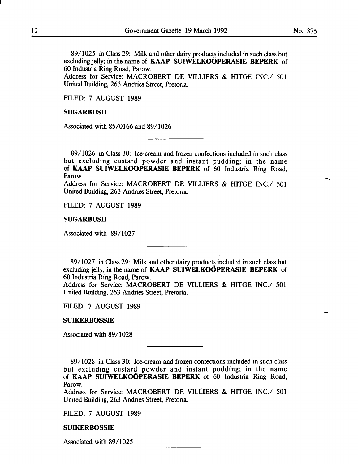8911025 in Class 29: Milk and other dairy products included in such class but excluding jelly; in the name of KAAP SUIWELKOOPERASIE BEPERK of 60 Industria Ring Road, Parow.

Address for Service: MACROBERT DE VILLIERS & HITGE INC./ 501 United Building, 263 Andries Street, Pretoria.

FILED: 7 AUGUST 1989

#### SUGARBUSH

Associated with 85/0166 and 89/1026

89/1026 in Class 30: Ice-cream and frozen confections included in such class but excluding custard powder and instant pudding; in the name of KAAP SUIWELKOOPERASIE BEPERK of 60 Industria Ring Road, Parow.

Address for Service: MACROBERT DE VILLIERS & HITGE INC./ 501 United Building, 263 Andries Street, Pretoria.

FILED: 7 AUGUST 1989

#### SUGARBUSH

Associated with 89/1027

8911027 in Class 29: Milk and other dairy products included in such class but excluding jelly; in the name of KAAP SUIWELKOOPERASIE BEPERK of 60 Industria Ring Road, Parow.

Address for Service: MACROBERT DE VILLIERS & HITGE INC./ 501 United Building, 263 Andries Street, Pretoria.

FILED: 7 AUGUST 1989

#### SUIKERBOSSIE

Associated with 89/1028

8911028 in Class 30: Ice-cream and frozen confections included in such class but excluding custard powder and instant pudding; in the name of KAAP SUIWELKOOPERASIE BEPERK of 60 Industria Ring Road, Parow.

Address for Service: MACROBERT DE VILLIERS & HITGE INC./ 501 United Building, 263 Andries Street, Pretoria.

FILED: 7 AUGUST 1989

#### SUIKERBOSSIE

Associated with 89/1025

-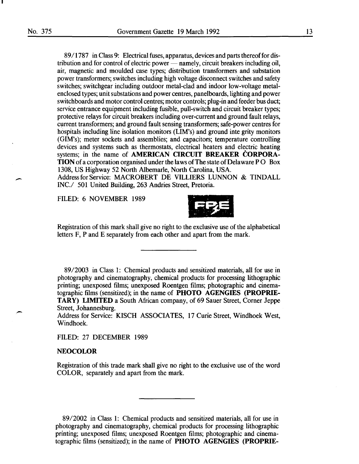89/1787 in Class 9: Electrical fuses, apparatus, devices and parts thereof for distribution and for control of electric power — namely, circuit breakers including oil, air, magnetic and moulded case types; distribution transformers and substation power transformers; switches including high voltage disconnect switches and safety switches; switchgear including outdoor metal-clad and indoor low-voltage metalenclosed types; unit substations and power centres, panelboards, lighting and power switchboards and motor control centres; motor controls; plug-in and feeder bus duct; service entrance equipment including fusible, pull-switch and circuit breaker types; protective relays for circuit breakers including over-current and ground fault relays, current transformers; and ground fault sensing transformers; safe-power centres for hospitals including line isolation monitors (LIM's) and ground integrity monitors (GIM's); meter sockets and assemblies; and capacitors; temperature controlling devices and systems such as thermostats, electrical heaters and electric heating systems; in the name of AMERICAN CIRCUIT BREAKER CORPORA-TION of a corporation organised under the laws of The state of Delaware P 0 Box 1308, US Highway 52 North Albemarle, North Carolina, USA.

Address for Service: MACROBERT DE VILLIERS LUNNON & TINDALL INC./ 501 United Building, 263 Andries Street, Pretoria.

FILED: 6 NOVEMBER 1989



Registration of this mark shall give no right to the exclusive use of the alphabetical letters F, P and E separately from each other and apart from the mark.

89/2003 in Class 1: Chemical products and sensitized materials, all for use in photography and cinematography, chemical products for processing lithographic printing; unexposed films; unexposed Roentgen films; photographic and cinematographic films (sensitized); in the name of PHOTO AGENGIES (PROPRIE-TARY) LIMITED a South African company, of 69 Sauer Street, Corner Jeppe Street, Johannesburg.

Address for Service: KISCH ASSOCIATES, 17 Curie Street, Windhoek West, Windhoek.

FILED: 27 DECEMBER 1989

#### **NEOCOLOR**

Registration of this trade mark shall give no right to the exclusive use of the word COLOR, separately and apart from the mark.

89/2002 in Class 1: Chemical products and sensitized materials, all for use in photography and cinematography, chemical products for processing lithographic printing; unexposed films; unexposed Roentgen films; photographic and cinematographic films (sensitized); in the name of PHOTO AGENGIES (PROPRIE-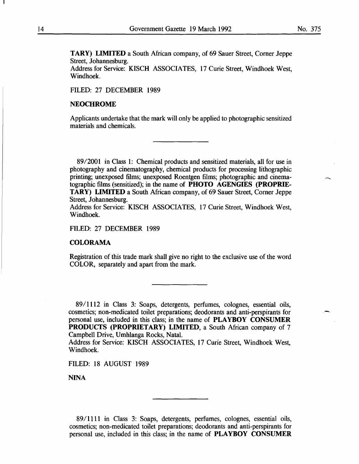--

**TARY) LIMITED** a South African company, of 69 Sauer Street, Corner Jeppe Street, Johannesburg.

Address for Service: KISCH ASSOCIATES, 17 Curie Street, Windhoek West, Windhoek.

FILED: 27 DECEMBER 1989

#### **NEOCHROME**

Applicants undertake that the mark will only be applied to photographic sensitized materials and chemicals.

89/2001 in Class 1: Chemical products and sensitized materials, all for use in photography and cinematography, chemical products for processing lithographic printing; unexposed films; unexposed Roentgen films; photographic and cinematographic films (sensitized); in the name of **PHOTO AGENGIES (PROPRIE-TARY) LIMITED** a South African company, of 69 Sauer Street, Corner Jeppe Street, Johannesburg.

Address for Service: KISCH ASSOCIATES, 17 Curie Street, Windhoek West, Windhoek.

FILED: 27 DECEMBER 1989

## **COLORAMA**

Registration of this trade mark shall give no right to the exclusive use of the word COLOR, separately and apart from the mark.

8911112 in Class 3: Soaps, detergents, perfumes, colognes, essential oils, cosmetics; non-medicated toilet preparations; deodorants and anti-perspirants for personal use, included in this class; in the name of **PLAYBOY CONSUMER PRODUCTS (PROPRIETARY) LIMITED,** a South African company of 7 Campbell Drive, Umhlanga Rocks, Natal.

Address for Service: KISCH ASSOCIATES, 17 Curie Street, Windhoek West, Windhoek.

FILED: 18 AUGUST 1989

NINA

8911111 in Class 3: Soaps, detergents, perfumes, colognes, essential oils, cosmetics; non-medicated toilet preparations; deodorants and anti-perspirants for personal use, included in this class; in the name of **PLAYBOY CONSUMER**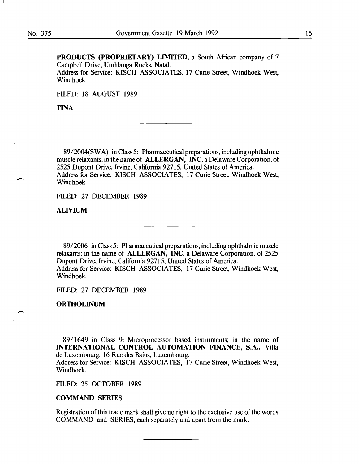$\overline{\phantom{a}}$ 

-

PRODUCTS (PROPRIETARY) LIMITED, a South African company of 7 Campbell Drive, Umhlanga Rocks, Natal. Address for Service: KISCH ASSOCIATES, 17 Curie Street, Windhoek West, Windhoek.

FILED: 18 AUGUST 1989

TINA

89/2004(SWA) in Class 5: Pharmaceutical preparations, including ophthalmic muscle relaxants; in the name of ALLERGAN, INC. a Delaware Corporation, of 2525 Dupont Drive, Irvine, California 92715, United States of America. Address for Service: KISCH ASSOCIATES, 17 Curie Street, Windhoek West, Windhoek.

FILED: 27 DECEMBER 1989

ALIVIUM

89/2006 in Class 5: Pharmaceutical preparations, including ophthalmic muscle relaxants; in the name of ALLERGAN, INC. a Delaware Corporation, of 2525 Dupont Drive, Irvine, California 92715, United States of America. Address for Service: KISCH ASSOCIATES, 17 Curie Street, Windhoek West, Windhoek.

FILED: 27 DECEMBER 1989

ORTHOLINUM

89/1649 in Class 9: Microprocessor based instruments; in the name of INTERNATIONAL CONTROL AUTOMATION FINANCE, S.A., Villa de Luxembourg, 16 Rue des Bains, Luxembourg.

Address for Service: KISCH ASSOCIATES, 17 Curie Street, Windhoek West, Windhoek.

FILED: 25 OCTOBER 1989

# COMMAND SERIES

Registration of this trade mark shall give no right to the exclusive use of the words COMMAND and SERIES, each separately and apart from the mark.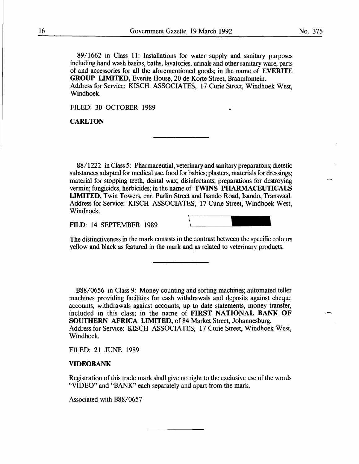No. 375

-

89/1662 in Class 11: Installations for water supply and sanitary purposes including hand wash basins, baths, lavatories, urinals and other sanitary ware, parts of and accessories for all the aforementioned goods; in the name of EVERITE GROUP LIMITED, Everite House, 20 de Korte Street, Braamfontein. Address for Service: KISCH ASSOCIATES, 17 Curie Street, Windhoek West, Windhoek.

FILED: 30 OCTOBER 1989

**CARLTON** 

88/1222 in Class 5: Pharmaceutial, veterinary and sanitary preparatons; dietetic substances adapted for medical use, food for babies; plasters, materials for dressings; material for stopping teeth, dental wax; disinfectants; preparations for destroying vermin; fungicides, herbicides; in the name of TWINS PHARMACEUTICALS LIMITED, Twin Towers, cnr. Purlin Street and Isando Road, Isando, Transvaal. Address for Service: KISCH ASSOCIATES, 17 Curie Street, Windhoek West, Windhoek.

FILD: 14 SEPTEMBER 1989

•

The distinctiveness in the mark consists in the contrast between the specific colours yellow and black as featured in the mark and as related to veterinary products.

B88/0656 in Class 9: Money counting and sorting machines; automated teller machines providing facilities for cash withdrawals and deposits against cheque accounts, withdrawals against accounts, up to date statements, money transfer, included in this class; in the name of FIRST NATIONAL BANK OF SOUTHERN AFRICA LIMITED, of 84 Market Street, Johannesburg. Address for Service: KISCH ASSOCIATES, 17 Curie Street, Windhoek West, Windhoek.

FILED: 21 JUNE 1989

#### **VIDEOBANK**

Registration of this trade mark shall give no right to the exclusive use of the words "VIDEO" and "BANK" each separately and apart from the mark.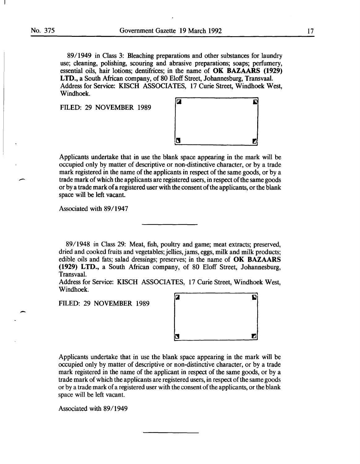-

8911949 in Class 3: Bleaching preparations and other substances for laundry use; cleaning, polishing, scouring and abrasive preparations; soaps; perfumery, essential oils, hair lotions; dentifrices; in the name of OK BAZAARS (1929) LTD., a South African company, of 80 Eloff Street, Johannesburg, Transvaal. Address for Service: KISCH ASSOCIATES, 17 Curie Street, Windhoek West, Windhoek.

FILED: 29 NOVEMBER 1989



Applicants undertake that in use the blank space appearing in the mark will be occupied only by matter of descriptive or non-distinctive character, or by a trade mark registered in the name of the applicants in respect of the same goods, or by a trade mark of which the applicants are registered users, in respect of the same goods or by a trade mark of a registered user with the consent of the applicants, or the blank space will be left vacant.

Associated with 89/1947

8911948 in Class 29: Meat, fish, poultry and game; meat extracts; preserved, dried and cooked fruits and vegetables; jellies, jams, eggs, milk and milk products; edible oils and fats; salad dressings; preserves; in the name of OK BAZAARS (1929) LTD., a South African company, of 80 Eloff Street, Johannesburg, Transvaal.

Address for Service: KISCH ASSOCIATES, 17 Curie Street, Windhoek West, Windhoek.

FILED: 29 NOVEMBER 1989



Applicants undertake that in use the blank space appearing in the mark will be occupied only by matter of descriptive or non-distinctive character, or by a trade mark registered in the name of the applicant in respect of the same goods, or by a trade mark of which the applicants are registered users, in respect of the same goods or by a trade mark of a registered user with the consent of the applicants, or the blank space will be left vacant.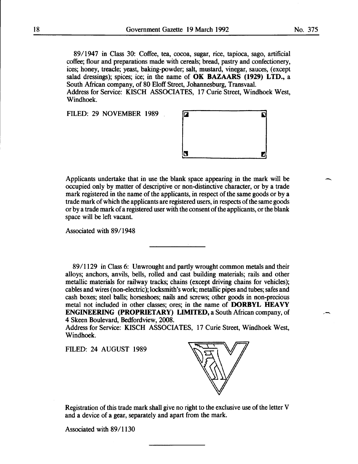89/1947 in Class 30: Coffee, tea, cocoa, sugar, rice, tapioca, sago, artificial coffee; flour and preparations made with cereals; bread, pastry and confectionery, ices; honey, treacle; yeast, baking-powder; salt, mustard, vinegar, sauces, (except salad dressings); spices; ice; in the name of OK BAZAARS (1929) LTD., a South African company, of 80 Eloff Street, Johannesburg, Transvaal. Address for Service: KISCH ASSOCIATES, 17 Curie Street, Windhoek West,

FILED: 29 NOVEMBER 1989

Windhoek.



Applicants undertake that in use the blank space appearing in the mark will be occupied only by matter of descriptive or non-distinctive character, or by a trade mark registered in the name of the applicants, in respect of the same goods or by a trade mark of which the applicants are registered users, in respects of the same goods or by a trade mark of a registered user with the consent of the applicants, or the blank space will be left vacant.

Associated with 89/1948

89/1129 in Class 6: Unwrought and partly wrought common metals and their alloys; anchors, anvils, bells, rolled and cast building materials; rails and other metallic materials for railway tracks; chains (except driving chains for vehicles); cables and wires (non-electric); locksmith's work; metallic pipes and tubes; safes and cash boxes; steel balls; horseshoes; nails and screws; other goods in non-precious metal not included in other classes; ores; in the name of DORBYL HEAVY ENGINEERING (PROPRIETARY) LIMITED, a South African company, of 4 Skeen Boulevard, Bedfordview, 2008.

Address for Service: KISCH ASSOCIATES, 17 Curie Street, Windhoek West, Windhoek.

FILED: 24 AUGUST 1989



Registration of this trade mark shall give no right to the exclusive use of the letter V and a device of a gear, separately and apart from the mark.

Associated with 89/1130

 $\overline{\phantom{a}}$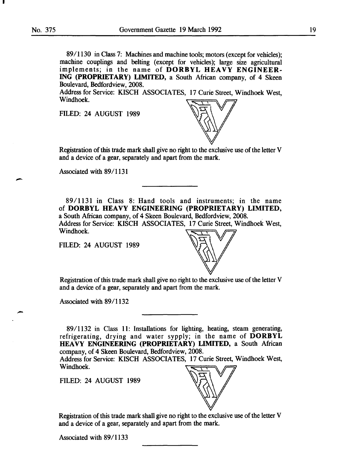I

-

-

89/1130 in Class 7: Machines and machine tools; motors (except for vehicles); machine couplings and belting (except for vehicles); large size agricultural implements; in the name of DORBYL HEAVY ENGINEER-ING (PROPRIETARY) LIMITED, a South African company, of 4 Skeen Boulevard, Bedfordview, 2008.

Address for Service: KISCH ASSOCIATES, 17 Curie Street, Windhoek West, Windhoek.

FILED: 24 AUGUST 1989



Registration of this trade mark shall give no right to the exclusive use of the letter V and a device of a gear, separately and apart from the mark.

Associated with 89/1131

89/1131 in Class 8: Hand tools and instruments; in the name of DORBYL HEAVY ENGINEERING (PROPRIETARY) LIMITED, a South African company, of 4 Skeen Boulevard, Bedfordview, 2008. Address for Service: KISCH ASSOCIATES, 17 Curie Street, Windhoek West, Windhoek.

FILED: 24 AUGUST 1989



Registration of this trade mark shall give no right to the exclusive use of the letter V and a device of a gear, separately and apart from the mark.

Associated with 89/1132

89/1132 in Class 11: Installations for lighting, heating, steam generating, refrigerating, drying and water sypply; in the name of DORBYL HEAVY ENGINEERING (PROPRIETARY) LIMITED, a South African company, of 4 Skeen Boulevard, Bedfordview, 2008.

Address for Service: KISCH ASSOCIATES, 17 Curie Street, Windhoek West, Windhoek.

FILED: 24 AUGUST 1989



Registration of this trade mark shall give no right to the exclusive use of the letter V and a device of a gear, separately and apart from the mark.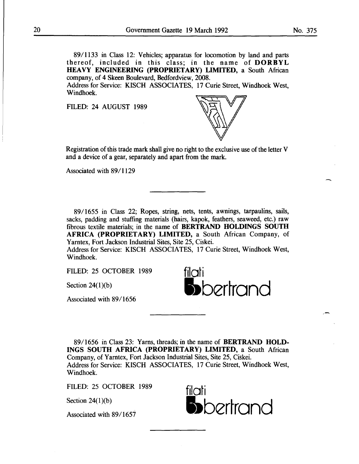Address for Service: KISCH ASSOCIATES, 17 Curie Street, Windhoek West, Windhoek.

FILED: 24 AUGUST 1989



Registration of this trade mark shall give no right to the exclusive use of the letter V and a device of a gear, separately and apart from the mark.

Associated with 89/1129

89/1655 in Class 22; Ropes, string, nets, tents, awnings, tarpaulins, sails, sacks, padding and stuffing materials (hairs, kapok, feathers, seaweed, etc.) raw fibrous textile materials; in the name of BERTRAND HOLDINGS SOUTH AFRICA (PROPRIETARY) LIMITED, a South African Company, of Yarntex, Fort Jackson Industrial Sites, Site 25, Ciskei.

Address for Service: KISCH ASSOCIATES, 17 Curie Street, Windhoek West, Windhoek.

FILED: 25 OCTOBER 1989

Section  $24(1)(b)$ 

Associated with 89/1656

filati •bertrand

8911656 in Class 23: Yarns, threads; in the name of BERTRAND HOLD-INGS SOUTH AFRICA (PROPRIETARY) LIMITED, a South African Company, of Yarntex, Fort Jackson Industrial Sites, Site 25, Ciskei. Address for Service: KISCH ASSOCIATES, 17 Curie Street, Windhoek West, Windhoek.

FILED: 25 OCTOBER 1989

Section  $24(1)(b)$ 

Associated with 89/1657



 $\overline{\phantom{a}}$ 

--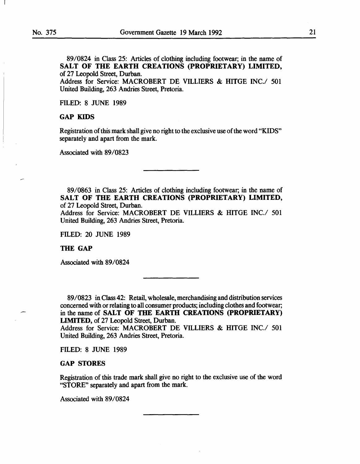89/0824 in Class 25: Articles of clothing including footwear; in the name of SALT OF THE EARTH CREATIONS (PROPRIETARY) LIMITED, of 27 Leopold Street, Durban.

Address for Service: MACROBERT DE VILLIERS & HITGE INC./ 501 United Building, 263 Andries Street, Pretoria.

FILED: 8 JUNE 1989

# GAP KIDS

Registration of this mark shall give no right to the exclusive use of the word "KIDS" separately and apart from the mark.

Associated with 89/0823

89/0863 in Class 25: Articles of clothing including footwear; in the name of SALT OF THE EARTH CREATIONS (PROPRIETARY) LIMITED, of 27 Leopold Street, Durban.

Address for Service: MACROBERT DE VILLIERS & HITGE INC./ 501 United Building, 263 Andries Street, Pretoria.

FILED: 20 JUNE 1989

THE GAP

Associated with 89/0824

89/0823 in Class 42: Retail, wholesale, merchandising and distribution services concerned with or relating to all consumer products; including clothes and footwear; in the name of SALT OF THE EARTH CREATIONS (PROPRIETARY) LIMITED, of 27 Leopold Street, Durban.

Address for Service: MACROBERT DE VILLIERS & HITGE INC./ 501 United Building, 263 Andries Street, Pretoria.

FILED: 8 JUNE 1989

#### GAP STORES

Registration of this trade mark shall give no right to the exclusive use of the word "STORE" separately and apart from the mark.